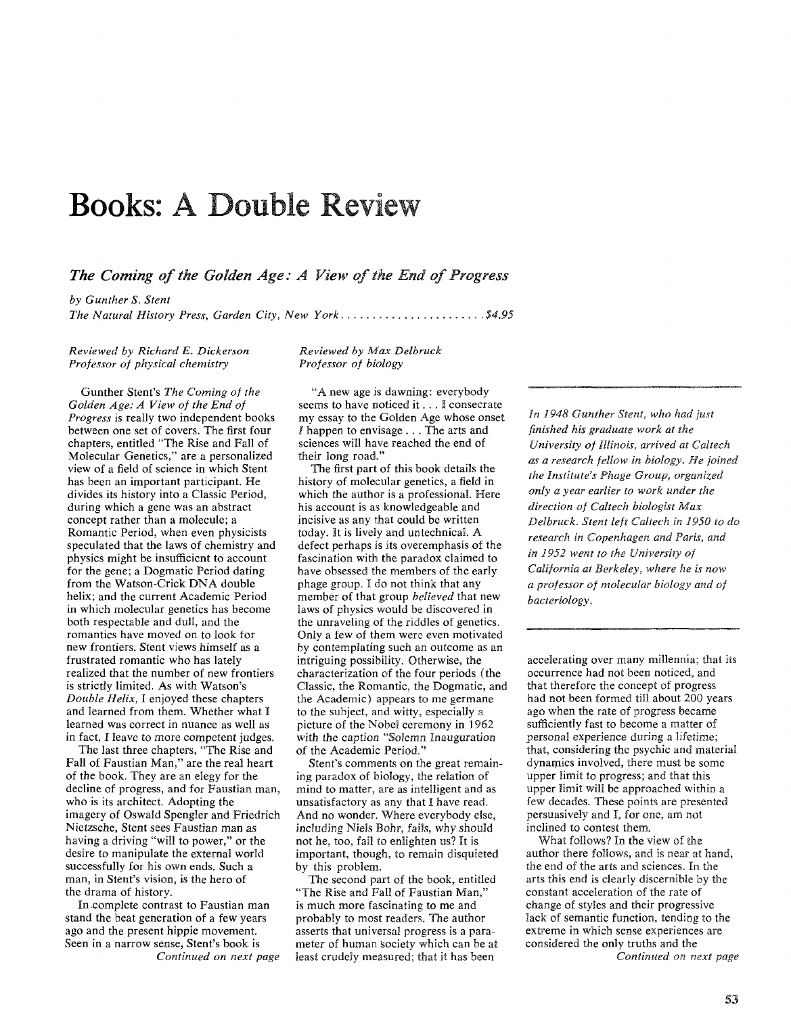## **Books: A Double Review**

*The Coming of the Golden Age: A View of the End of Progress* 

*by Gunther* **S.** *Stent The Natural History Press, Garden City, New York.* . . . . . . . . . . . . . . . . . . . . . **.\$4.95** 

*Reviewed by Richard E. Dickerson Professor of physical chemistry* 

Gunther Stent's *The Coming of the Golden Age: A View of the End of Progress* is really two independent books between one set of covers. The first four chapters, entitled "The Rise and Fall of Molecular Genetics," are a personalized view of a field of science in which Stent has been an important participant. He divides its history into a Classic Period, during which a gene was an abstract concept rather than a molecule; a Romantic Period, when even physicists speculated that the laws of chemistry and physics might be insufficient to account for the gene; a Dogmatic Period dating from the Watson-Crick DNA double helix; and the current Academic Period in which molecular genetics has become both respectable and dull, and the romantics have moved on to look for new frontiers. Stent views himself as a frustrated romantic who has lately realized that the number of new frontiers is strictly limited. As with Watson's *Double Helix,* I enjoyed these chapters and learned from them. Whether what I learned was correct in nuance as well as in fact, I leave to more competent judges.

The last three chapters, "The Rise and Fall of Faustian Man," are the real heart of the book. They are an elegy for the decline of progress, and for Faustian man, who is its architect. Adopting the imagery of Oswald Spengler and Friedrich Nietzsche, Stent sees Faustian man as having a driving "will to power," or the desire to manipulate the external world successfully for his own ends. Such a man, in Stent's vision, is the hero of the drama of history.

In-complete contrast to Faustian man stand the beat generation of a few years ago and the present hippie movement. Seen in a narrow sense, Stent's book is *Continued on next page* 

*Reviewed* **by** *Max Delbruck Professor of biology* 

"A new age is dawning: everybody seems to have noticed it. . . I consecrate my essay to the Golden Age whose onset *I* happen to envisage . . . The arts and sciences will have reached the end of their long road."

The first part of this book details the history of molecular genetics, a field in which the author is a professional. Here his account is as knowledgeable and incisive as any that could be written today. It is lively and untechnical. **A**  defect perhaps is its overemphasis of the fascination with the paradox claimed to have obsessed the members of the early phage group. I do not think that any member of that group *believed* that new laws of physics would be discovered in the unraveling of the riddles of genetics. Only a few of them were even motivated by contemplating such an outcome as an intriguing possibility. Otherwise, the characterization of the four periods (the Classic, the Romantic, the Dogmatic, and the Academic) appears to me germane to the subject, and witty, especially a picture of the Nobel ceremony in 1962 with the caption "Solemn Inauguration of the Academic Period."

Stent's comments on the great remaining paradox of biology, the relation of mind to matter, are as intelligent and as unsatisfactory as any that I have read. And no wonder. Where everybody else, including Niels Bohr, fails, why should not he, too, fail to enlighten us? It is important, though, to remain disquieted by this problem.

The second part of the book, entitled 'The Rise and Fall of Faustian Man," is much more fascinating to me and probably to most readers. The author asserts that universal progress is a parameter of human society which can be at least crudely measured; that it has been

*In 1948 Gunther Stent, who had just finished his graduate work at the University of Illinois, arrived at Caltech as a research fellow in biology. He joined the Institute's Phage Group, organized only a year earlier to work under the direction of Cdtech biologist Max Delbruck. Stent left Caltech in* 1950 *to do research in Copenhagen and Paris, and in* 1952 **went** *to the University of California at Berkeley, where he* is *now a professor of molecular biology and of bacteriology.* 

accelerating over many millennia; that its occurrence had not been noticed, and that therefore the concept of progress had not been formed till about 200 years ago when the rate of progress became sufficiently fast to become a matter of personal experience during a lifetime; that, considering the psychic and material dynamics involved, there must be some upper limit to progress; and that this upper limit will be approached within a few decades. These points are presented persuasively and I, for one, am not<br>inclined to contest them.

What follows? In the view of the author there follows, and is near at hand, the end of the arts and sciences. In the arts this end is clearly discernible by the constant acceleration of the rate of change of styles and their progressive lack of semantic function, tending to the extreme in which sense experiences are considered the only truths and the *Continued on next page*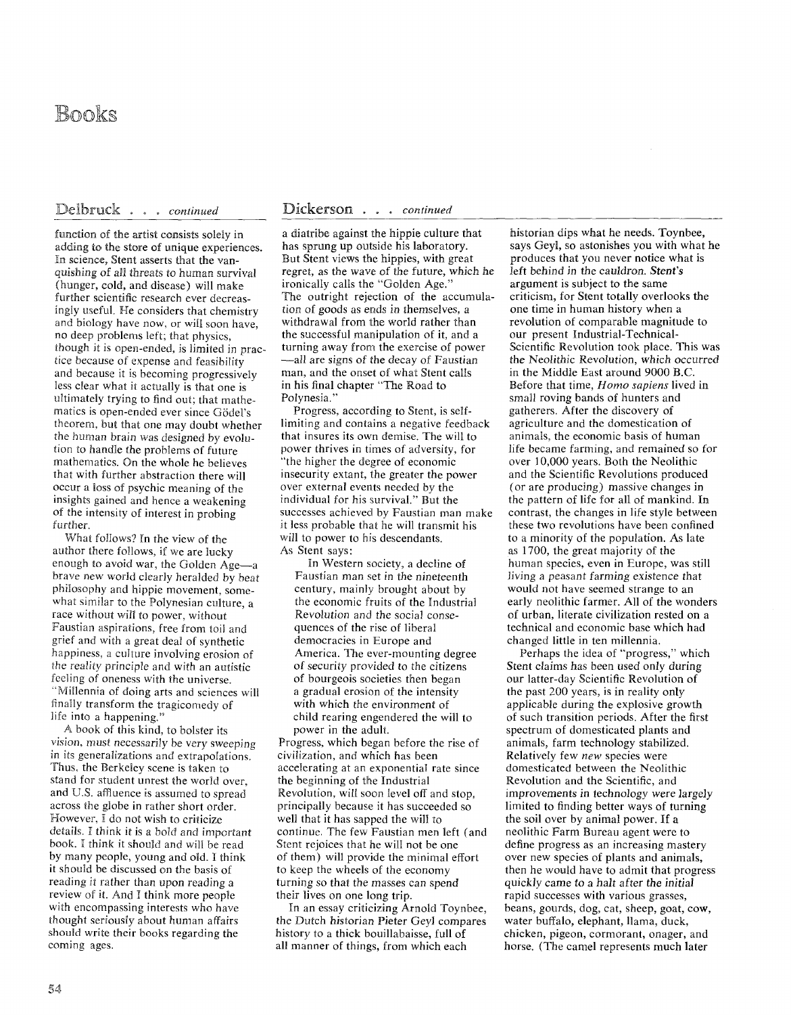## Books

## Delbruck . . . continued

function of the artist consists solely in adding to the store of unique experiences. In science, Stent asserts that the vanquishing of all threats to human survival (hunger, cold, and disease) will make further scientific research ever decreasingly useful. He considers that chemistry and biology have now, or will soon have, no deep problems left; that physics, though it is open-ended, is limited in practice because of expense and feasibility and because it is becoming progressively less clear what it actually is that one is ultimately trying to find out; that mathematics is open-ended ever since Gödel's theorem, but that one may doubt whether the human brain was designed by evolution to handle the problems of future mathematics. On the whole he believes that with further abstraction there will occur a loss of psychic meaning of the insights gained and hence a weakening of the intensity of interest in probing further.

What follows? In the view of the author there follows, if we are lucky enough to avoid war, the Golden Age-a brave new world clearly heralded by beat philosophy and hippie movement, somewhat similar to the Polynesian culture, a race without will to power, without Faustian aspirations, free from toil and grief and with a great deal of synthetic happiness, a culture involving erosion of *the* reality principle and with an autistic feeling of oneness with the universe. "Millennia of doing arts and sciences will finally transform the tragicomedy of life into a happening."

A book of this kind, to bolster its vision, must necessarily be very sweeping in its generalizations and extrapolations. Thus, the Berkeley scene is taken to stand for student unrest the world over, and U.S. affluence is assumed to spread across the globe in rather short order. However. I do not wish to criticize details. I think it is a bold and important book. 1 think it should and will he read by many people, young and old. I think it should be discussed on the basis of reading it rather than upon reading a review of it. And I think more people with encompassing interests who have thought seriously about human affairs should write their books regarding the coming ages.

## ickerson . . . *continued*

a diatribe against the hippie culture that has sprung up outside his laboratory. But Stent views the hippies, with great regret, as the wave of the future, which he ironically calls the "Golden Age." The outright rejection of the accumulation of goods as ends in themselves, a withdrawal from the world rather than the successful manipulation of it, and a turning away from the exercise of power -all are signs of the decay of Faustian man, and the onset of what Stent calls in his final chapter "The Road to Polynesia."

Progress, according to Stent, is selflimiting and contains a negative feedback that insures its own demise. The will to power thrives in times of adversity, for "the higher the degree of economic insecurity extant, the greater the power over external events needed by the individual for his survival." But the successes achieved by Faustian man make it less probable that he will transmit his will to power to his descendants. As Stent says:

In Western society, a decline of Faustian man set in the nineteenth century, mainly brought about by the economic fruits of the Industrial Revolution and the social consequences of the rise of liberal democracies in Europe and America. The ever-mounting degree of security provided to the citizens of bourgeois societies then began a gradual erosion of the intensity with which the environment of child rearing engendered the will to power in the adult.

Progress, which began before the rise of civilization, and which has been accelerating at an exponential rate since the beginning of the Industrial Revolution, will soon level off and stop, principally because it has succeeded so well that it has sapped the will to continue. The few Faustian men left (and Stent rejoices that he will not be one of them) will provide the minimal effort to keep the wheels of the economy turning so that the masses can spend their lives on one long trip.

In an essay criticizing Arnold Toynbee, the Dutch historian Pieter Geyl compares history to a thick bouillabaisse, full of all manner of things, from which each

historian dips what he needs. Toynbee, says Geyl, so astonishes you with what he produces that you never notice what is left behind in the cauldron. Stent's argument is subject to the same criticism, for Stent totally overlooks the one time in human history when a revolution of comparable magnitude to our present Industrial-Technical-Scientific Revolution took place. This was the Neolithic Revolution, which occurred in the Middle East around 9000 B.C. Before that time. *Homo sapiens* lived in small roving bands of hunters and gatherers. After the discovery of agriculture and the domestication of animals, the economic basis of human life became farming, and remained so for over 10,000 years. Both the Neolithic and the Scientific Revolutions produced (or are producing) massive changes in the pattern of life for all of mankind. In contrast, the changes in life style between these two revolutions have been confined to a minority of the population. As late as 1700, the great majority of the human species, even in Europe, was still living a peasant farming existence that would not have seemed strange to an early neolithic farmer. All of the wonders of urban, literate civilization rested on a technical and economic base which had changed little in ten millennia.

Perhaps the idea of "progress," which Stent claims has been used only during our latter-day Scientific Revolution of the past 200 years, is in reality only applicable during the explosive growth of such transition periods. After the first spectrum of domesticated plants and animals, farm technology stabilized. Relatively few *new* species were domesticated between the Neolithic Revolution and the Scientific, and improvements in technology were largely limited to finding better ways of turning the soil over by animal power. If a neolithic Farm Bureau agent were to define progress as an increasing mastery over new species of plants and animals, then he would have to admit that progress quickly came to a halt after the initial rapid successes with various grasses, beans, gourds, dog, cat, sheep, goat, cow, water buffalo, elephant, llama, duck, chicken, pigeon, cormorant, onager, and horse. (The camel represents much later